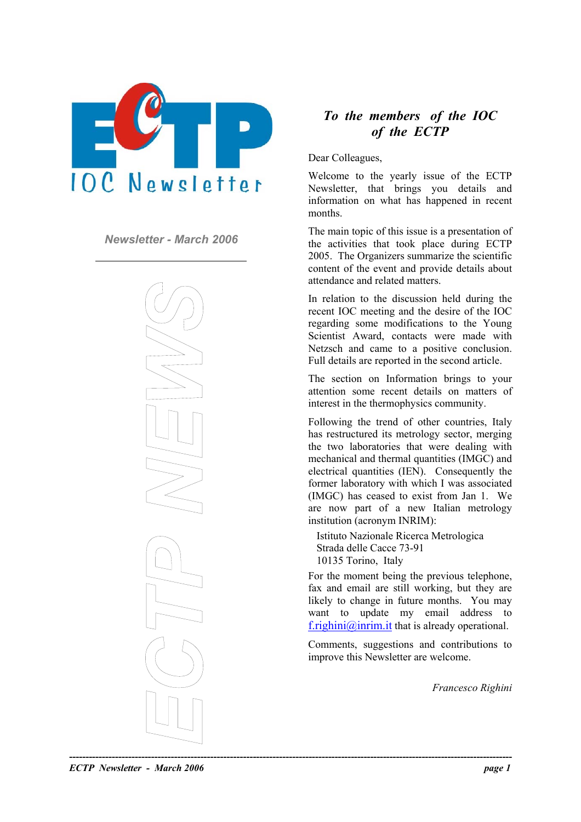

*Newsletter - March 2006* 



# *To the members of the IOC of the ECTP*

Dear Colleagues,

Welcome to the yearly issue of the ECTP Newsletter, that brings you details and information on what has happened in recent months.

The main topic of this issue is a presentation of the activities that took place during ECTP 2005. The Organizers summarize the scientific content of the event and provide details about attendance and related matters.

In relation to the discussion held during the recent IOC meeting and the desire of the IOC regarding some modifications to the Young Scientist Award, contacts were made with Netzsch and came to a positive conclusion. Full details are reported in the second article.

The section on Information brings to your attention some recent details on matters of interest in the thermophysics community.

Following the trend of other countries, Italy has restructured its metrology sector, merging the two laboratories that were dealing with mechanical and thermal quantities (IMGC) and electrical quantities (IEN). Consequently the former laboratory with which I was associated (IMGC) has ceased to exist from Jan 1. We are now part of a new Italian metrology institution (acronym INRIM):

Istituto Nazionale Ricerca Metrologica Strada delle Cacce 73-91 10135 Torino, Italy

For the moment being the previous telephone, fax and email are still working, but they are likely to change in future months. You may want to update my email address to [f.righini@inrim.it](mailto:f.righini@inrim.it) that is already operational.

Comments, suggestions and contributions to improve this Newsletter are welcome.

*Francesco Righini* 

*ECTP Newsletter - March 2006 page 1*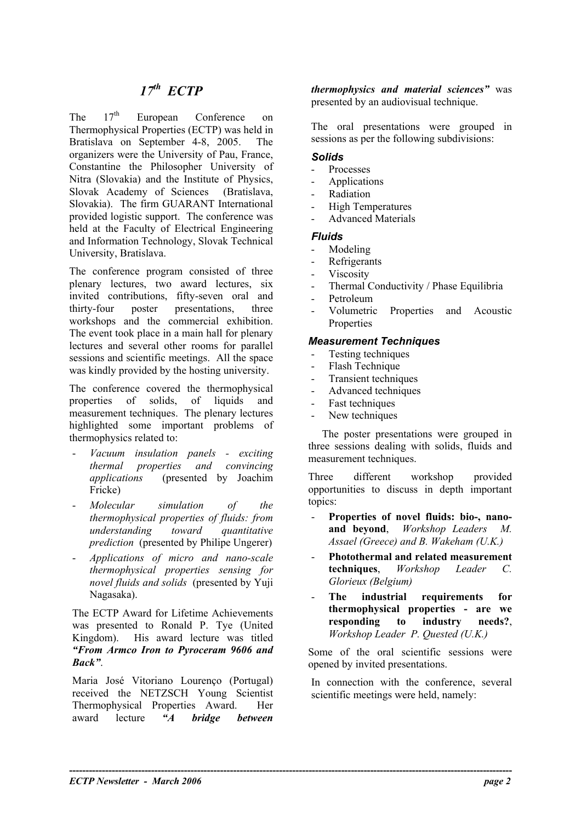The  $17<sup>th</sup>$  European Conference on Thermophysical Properties (ECTP) was held in Bratislava on September 4-8, 2005. The organizers were the University of Pau, France, Constantine the Philosopher University of Nitra (Slovakia) and the Institute of Physics, Slovak Academy of Sciences (Bratislava, Slovakia). The firm GUARANT International provided logistic support. The conference was held at the Faculty of Electrical Engineering and Information Technology, Slovak Technical University, Bratislava.

The conference program consisted of three plenary lectures, two award lectures, six invited contributions, fifty-seven oral and thirty-four poster presentations, three workshops and the commercial exhibition. The event took place in a main hall for plenary lectures and several other rooms for parallel sessions and scientific meetings. All the space was kindly provided by the hosting university.

The conference covered the thermophysical properties of solids, of liquids and measurement techniques. The plenary lectures highlighted some important problems of thermophysics related to:

- *Vacuum insulation panels exciting thermal properties and convincing applications* (presented by Joachim Fricke)
- *Molecular simulation of the thermophysical properties of fluids: from understanding toward quantitative prediction* (presented by Philipe Ungerer)
- *Applications of micro and nano-scale thermophysical properties sensing for novel fluids and solids* (presented by Yuji Nagasaka).

The ECTP Award for Lifetime Achievements was presented to Ronald P. Tye (United Kingdom). His award lecture was titled *"From Armco Iron to Pyroceram 9606 and Back"*.

Maria José Vitoriano Lourenço (Portugal) received the NETZSCH Young Scientist Thermophysical Properties Award. Her award lecture *"A bridge between* 

*thermophysics and material sciences"* was presented by an audiovisual technique.

The oral presentations were grouped in sessions as per the following subdivisions:

### *Solids*

- Processes
- Applications
- **Radiation**
- High Temperatures
- Advanced Materials

#### *Fluids*

- Modeling
- Refrigerants
- **Viscosity**
- Thermal Conductivity / Phase Equilibria
- Petroleum
- Volumetric Properties and Acoustic Properties

#### *Measurement Techniques*

- Testing techniques
- Flash Technique
- Transient techniques
- Advanced techniques
- Fast techniques
- New techniques

The poster presentations were grouped in three sessions dealing with solids, fluids and measurement techniques.

Three different workshop provided opportunities to discuss in depth important topics:

- **Properties of novel fluids: bio-, nanoand beyond**, *Workshop Leaders M. Assael (Greece) and B. Wakeham (U.K.)* -
- **Photothermal and related measurement techniques**, *Workshop Leader C. Glorieux (Belgium)*
- **The industrial requirements for thermophysical properties - are we responding to industry needs?**, *Workshop Leader P. Quested (U.K.)*

Some of the oral scientific sessions were opened by invited presentations.

In connection with the conference, several scientific meetings were held, namely: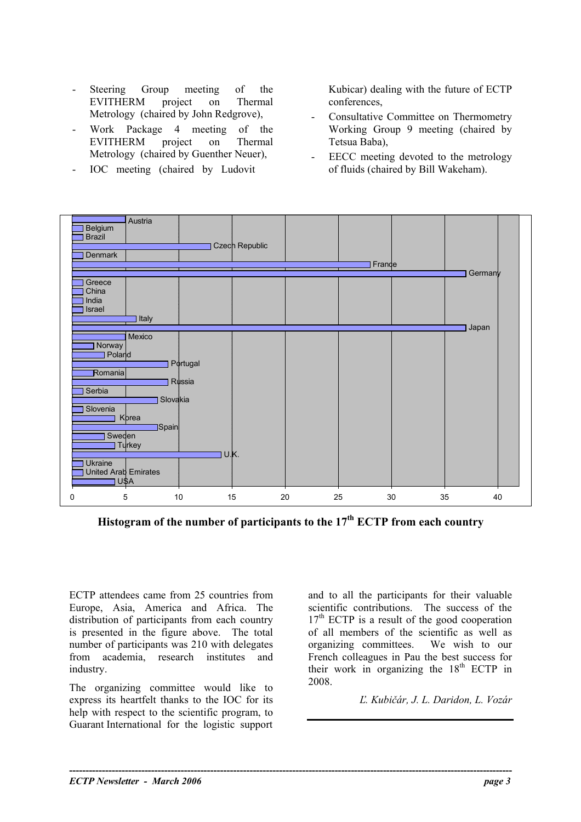- Steering Group meeting of the EVITHERM project on Thermal Metrology (chaired by John Redgrove), Consultative Committee on Thermometry
- Work Package 4 meeting of the EVITHERM project on Thermal Metrology (chaired by Guenther Neuer), <br> EECC meeting devoted to the metrology
- 

Kubicar) dealing with the future of ECTP conferences,

- Working Group 9 meeting (chaired by Tetsua Baba),
- IOC meeting (chaired by Ludovit of fluids (chaired by Bill Wakeham).



**Histogram of the number of participants to the 17th ECTP from each country** 

**----------------------------------------------------------------------------------------------------------------------------------------** 

ECTP attendees came from 25 countries from Europe, Asia, America and Africa. The distribution of participants from each country is presented in the figure above. The total number of participants was 210 with delegates from academia, research institutes and industry.

The organizing committee would like to 2008. express its heartfelt thanks to the IOC for its help with respect to the scientific program, to Guarant International for the logistic support

and to all the participants for their valuable scientific contributions. The success of the  $17<sup>th</sup>$  ECTP is a result of the good cooperation of all members of the scientific as well as organizing committees. We wish to our French colleagues in Pau the best success for their work in organizing the  $18<sup>th</sup>$  ECTP in

*Ľ. Kubičár, J. L. Daridon, L. Vozár*